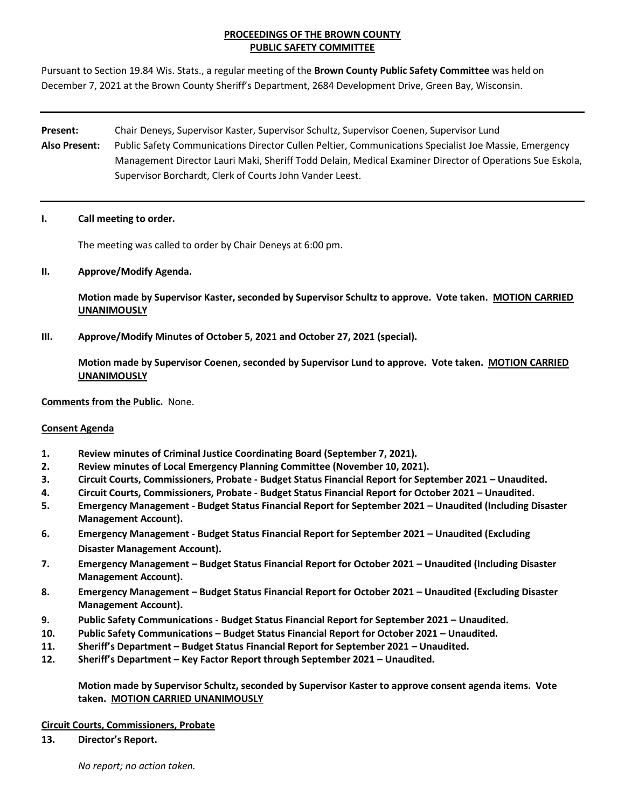# **PROCEEDINGS OF THE BROWN COUNTY PUBLIC SAFETY COMMITTEE**

Pursuant to Section 19.84 Wis. Stats., a regular meeting of the **Brown County Public Safety Committee** was held on December 7, 2021 at the Brown County Sheriff's Department, 2684 Development Drive, Green Bay, Wisconsin.

# **Present:** Chair Deneys, Supervisor Kaster, Supervisor Schultz, Supervisor Coenen, Supervisor Lund **Also Present:** Public Safety Communications Director Cullen Peltier, Communications Specialist Joe Massie, Emergency Management Director Lauri Maki, Sheriff Todd Delain, Medical Examiner Director of Operations Sue Eskola, Supervisor Borchardt, Clerk of Courts John Vander Leest.

## **I. Call meeting to order.**

The meeting was called to order by Chair Deneys at 6:00 pm.

# **II. Approve/Modify Agenda.**

**Motion made by Supervisor Kaster, seconded by Supervisor Schultz to approve. Vote taken. MOTION CARRIED UNANIMOUSLY**

**III. Approve/Modify Minutes of October 5, 2021 and October 27, 2021 (special).** 

**Motion made by Supervisor Coenen, seconded by Supervisor Lund to approve. Vote taken. MOTION CARRIED UNANIMOUSLY**

### **Comments from the Public.** None.

# **Consent Agenda**

- **1. Review minutes of Criminal Justice Coordinating Board (September 7, 2021).**
- **2. Review minutes of Local Emergency Planning Committee (November 10, 2021).**
- **3. Circuit Courts, Commissioners, Probate - Budget Status Financial Report for September 2021 – Unaudited.**
- **4. Circuit Courts, Commissioners, Probate - Budget Status Financial Report for October 2021 – Unaudited.**
- **5. Emergency Management - Budget Status Financial Report for September 2021 – Unaudited (Including Disaster Management Account).**
- **6. Emergency Management - Budget Status Financial Report for September 2021 – Unaudited (Excluding Disaster Management Account).**
- **7. Emergency Management – Budget Status Financial Report for October 2021 – Unaudited (Including Disaster Management Account).**
- **8. Emergency Management – Budget Status Financial Report for October 2021 – Unaudited (Excluding Disaster Management Account).**
- **9. Public Safety Communications - Budget Status Financial Report for September 2021 – Unaudited.**
- **10. Public Safety Communications – Budget Status Financial Report for October 2021 – Unaudited.**
- **11. Sheriff's Department – Budget Status Financial Report for September 2021 – Unaudited.**
- **12. Sheriff's Department – Key Factor Report through September 2021 – Unaudited.**

**Motion made by Supervisor Schultz, seconded by Supervisor Kaster to approve consent agenda items. Vote taken. MOTION CARRIED UNANIMOUSLY**

# **Circuit Courts, Commissioners, Probate**

**13. Director's Report.**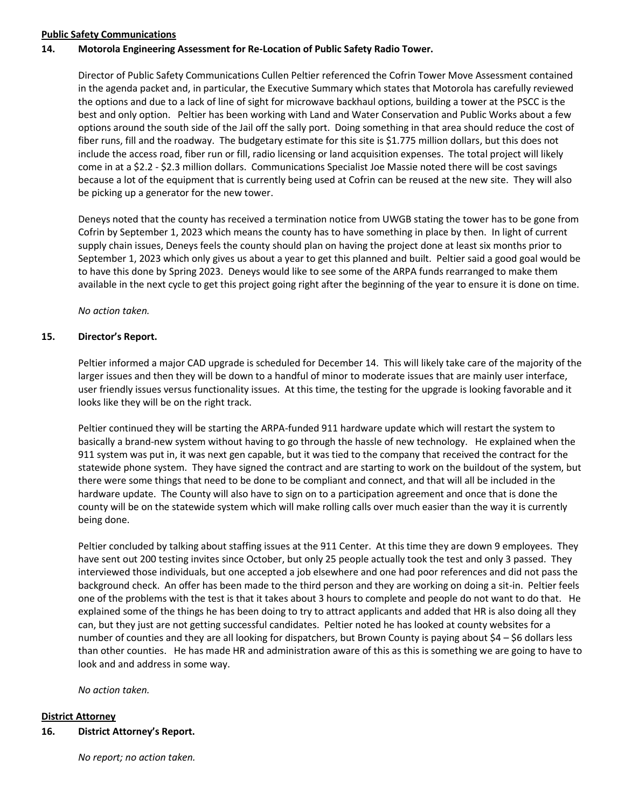## **Public Safety Communications**

## **14. Motorola Engineering Assessment for Re-Location of Public Safety Radio Tower.**

Director of Public Safety Communications Cullen Peltier referenced the Cofrin Tower Move Assessment contained in the agenda packet and, in particular, the Executive Summary which states that Motorola has carefully reviewed the options and due to a lack of line of sight for microwave backhaul options, building a tower at the PSCC is the best and only option. Peltier has been working with Land and Water Conservation and Public Works about a few options around the south side of the Jail off the sally port. Doing something in that area should reduce the cost of fiber runs, fill and the roadway. The budgetary estimate for this site is \$1.775 million dollars, but this does not include the access road, fiber run or fill, radio licensing or land acquisition expenses. The total project will likely come in at a \$2.2 - \$2.3 million dollars. Communications Specialist Joe Massie noted there will be cost savings because a lot of the equipment that is currently being used at Cofrin can be reused at the new site. They will also be picking up a generator for the new tower.

Deneys noted that the county has received a termination notice from UWGB stating the tower has to be gone from Cofrin by September 1, 2023 which means the county has to have something in place by then. In light of current supply chain issues, Deneys feels the county should plan on having the project done at least six months prior to September 1, 2023 which only gives us about a year to get this planned and built. Peltier said a good goal would be to have this done by Spring 2023. Deneys would like to see some of the ARPA funds rearranged to make them available in the next cycle to get this project going right after the beginning of the year to ensure it is done on time.

*No action taken.*

## **15. Director's Report.**

Peltier informed a major CAD upgrade is scheduled for December 14. This will likely take care of the majority of the larger issues and then they will be down to a handful of minor to moderate issues that are mainly user interface, user friendly issues versus functionality issues. At this time, the testing for the upgrade is looking favorable and it looks like they will be on the right track.

Peltier continued they will be starting the ARPA-funded 911 hardware update which will restart the system to basically a brand-new system without having to go through the hassle of new technology. He explained when the 911 system was put in, it was next gen capable, but it was tied to the company that received the contract for the statewide phone system. They have signed the contract and are starting to work on the buildout of the system, but there were some things that need to be done to be compliant and connect, and that will all be included in the hardware update. The County will also have to sign on to a participation agreement and once that is done the county will be on the statewide system which will make rolling calls over much easier than the way it is currently being done.

Peltier concluded by talking about staffing issues at the 911 Center. At this time they are down 9 employees. They have sent out 200 testing invites since October, but only 25 people actually took the test and only 3 passed. They interviewed those individuals, but one accepted a job elsewhere and one had poor references and did not pass the background check. An offer has been made to the third person and they are working on doing a sit-in. Peltier feels one of the problems with the test is that it takes about 3 hours to complete and people do not want to do that. He explained some of the things he has been doing to try to attract applicants and added that HR is also doing all they can, but they just are not getting successful candidates. Peltier noted he has looked at county websites for a number of counties and they are all looking for dispatchers, but Brown County is paying about \$4 – \$6 dollars less than other counties. He has made HR and administration aware of this as this is something we are going to have to look and and address in some way.

*No action taken.*

# **District Attorney**

**16. District Attorney's Report.** 

*No report; no action taken.*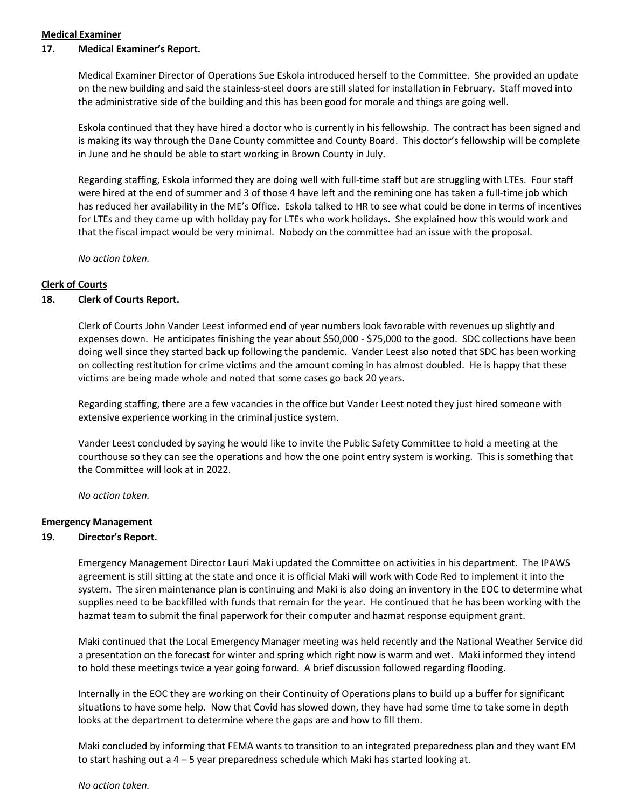#### **Medical Examiner**

#### **17. Medical Examiner's Report.**

Medical Examiner Director of Operations Sue Eskola introduced herself to the Committee. She provided an update on the new building and said the stainless-steel doors are still slated for installation in February. Staff moved into the administrative side of the building and this has been good for morale and things are going well.

Eskola continued that they have hired a doctor who is currently in his fellowship. The contract has been signed and is making its way through the Dane County committee and County Board. This doctor's fellowship will be complete in June and he should be able to start working in Brown County in July.

Regarding staffing, Eskola informed they are doing well with full-time staff but are struggling with LTEs. Four staff were hired at the end of summer and 3 of those 4 have left and the remining one has taken a full-time job which has reduced her availability in the ME's Office. Eskola talked to HR to see what could be done in terms of incentives for LTEs and they came up with holiday pay for LTEs who work holidays. She explained how this would work and that the fiscal impact would be very minimal. Nobody on the committee had an issue with the proposal.

*No action taken.* 

## **Clerk of Courts**

#### **18. Clerk of Courts Report.**

Clerk of Courts John Vander Leest informed end of year numbers look favorable with revenues up slightly and expenses down. He anticipates finishing the year about \$50,000 - \$75,000 to the good. SDC collections have been doing well since they started back up following the pandemic. Vander Leest also noted that SDC has been working on collecting restitution for crime victims and the amount coming in has almost doubled. He is happy that these victims are being made whole and noted that some cases go back 20 years.

Regarding staffing, there are a few vacancies in the office but Vander Leest noted they just hired someone with extensive experience working in the criminal justice system.

Vander Leest concluded by saying he would like to invite the Public Safety Committee to hold a meeting at the courthouse so they can see the operations and how the one point entry system is working. This is something that the Committee will look at in 2022.

*No action taken.* 

## **Emergency Management**

#### **19. Director's Report.**

Emergency Management Director Lauri Maki updated the Committee on activities in his department. The IPAWS agreement is still sitting at the state and once it is official Maki will work with Code Red to implement it into the system. The siren maintenance plan is continuing and Maki is also doing an inventory in the EOC to determine what supplies need to be backfilled with funds that remain for the year. He continued that he has been working with the hazmat team to submit the final paperwork for their computer and hazmat response equipment grant.

Maki continued that the Local Emergency Manager meeting was held recently and the National Weather Service did a presentation on the forecast for winter and spring which right now is warm and wet. Maki informed they intend to hold these meetings twice a year going forward. A brief discussion followed regarding flooding.

Internally in the EOC they are working on their Continuity of Operations plans to build up a buffer for significant situations to have some help. Now that Covid has slowed down, they have had some time to take some in depth looks at the department to determine where the gaps are and how to fill them.

Maki concluded by informing that FEMA wants to transition to an integrated preparedness plan and they want EM to start hashing out a 4 – 5 year preparedness schedule which Maki has started looking at.

*No action taken.*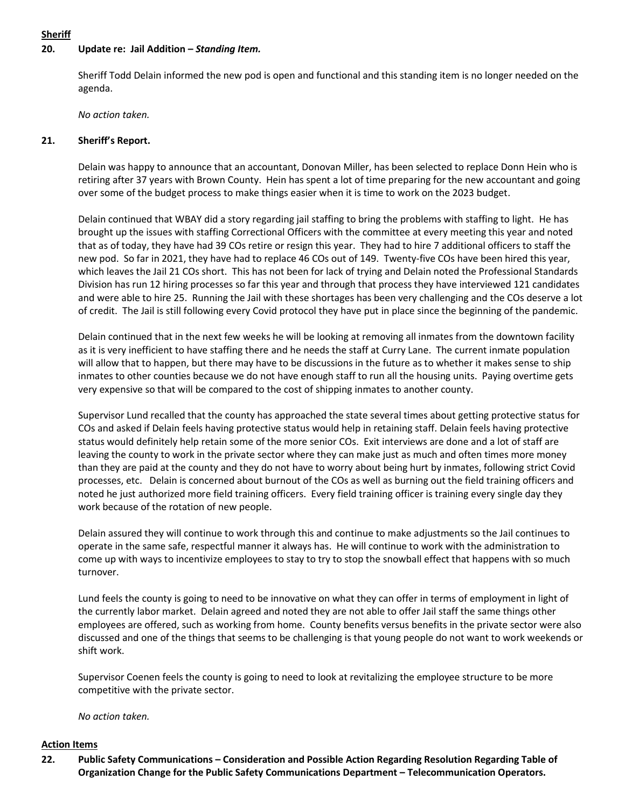# **Sheriff**

## **20. Update re: Jail Addition –** *Standing Item.*

Sheriff Todd Delain informed the new pod is open and functional and this standing item is no longer needed on the agenda.

*No action taken.*

#### **21. Sheriff's Report.**

Delain was happy to announce that an accountant, Donovan Miller, has been selected to replace Donn Hein who is retiring after 37 years with Brown County. Hein has spent a lot of time preparing for the new accountant and going over some of the budget process to make things easier when it is time to work on the 2023 budget.

Delain continued that WBAY did a story regarding jail staffing to bring the problems with staffing to light. He has brought up the issues with staffing Correctional Officers with the committee at every meeting this year and noted that as of today, they have had 39 COs retire or resign this year. They had to hire 7 additional officers to staff the new pod. So far in 2021, they have had to replace 46 COs out of 149. Twenty-five COs have been hired this year, which leaves the Jail 21 COs short. This has not been for lack of trying and Delain noted the Professional Standards Division has run 12 hiring processes so far this year and through that process they have interviewed 121 candidates and were able to hire 25. Running the Jail with these shortages has been very challenging and the COs deserve a lot of credit. The Jail is still following every Covid protocol they have put in place since the beginning of the pandemic.

Delain continued that in the next few weeks he will be looking at removing all inmates from the downtown facility as it is very inefficient to have staffing there and he needs the staff at Curry Lane. The current inmate population will allow that to happen, but there may have to be discussions in the future as to whether it makes sense to ship inmates to other counties because we do not have enough staff to run all the housing units. Paying overtime gets very expensive so that will be compared to the cost of shipping inmates to another county.

Supervisor Lund recalled that the county has approached the state several times about getting protective status for COs and asked if Delain feels having protective status would help in retaining staff. Delain feels having protective status would definitely help retain some of the more senior COs. Exit interviews are done and a lot of staff are leaving the county to work in the private sector where they can make just as much and often times more money than they are paid at the county and they do not have to worry about being hurt by inmates, following strict Covid processes, etc. Delain is concerned about burnout of the COs as well as burning out the field training officers and noted he just authorized more field training officers. Every field training officer is training every single day they work because of the rotation of new people.

Delain assured they will continue to work through this and continue to make adjustments so the Jail continues to operate in the same safe, respectful manner it always has. He will continue to work with the administration to come up with ways to incentivize employees to stay to try to stop the snowball effect that happens with so much turnover.

Lund feels the county is going to need to be innovative on what they can offer in terms of employment in light of the currently labor market. Delain agreed and noted they are not able to offer Jail staff the same things other employees are offered, such as working from home. County benefits versus benefits in the private sector were also discussed and one of the things that seems to be challenging is that young people do not want to work weekends or shift work.

Supervisor Coenen feels the county is going to need to look at revitalizing the employee structure to be more competitive with the private sector.

*No action taken.*

#### **Action Items**

**22. Public Safety Communications – Consideration and Possible Action Regarding Resolution Regarding Table of Organization Change for the Public Safety Communications Department – Telecommunication Operators.**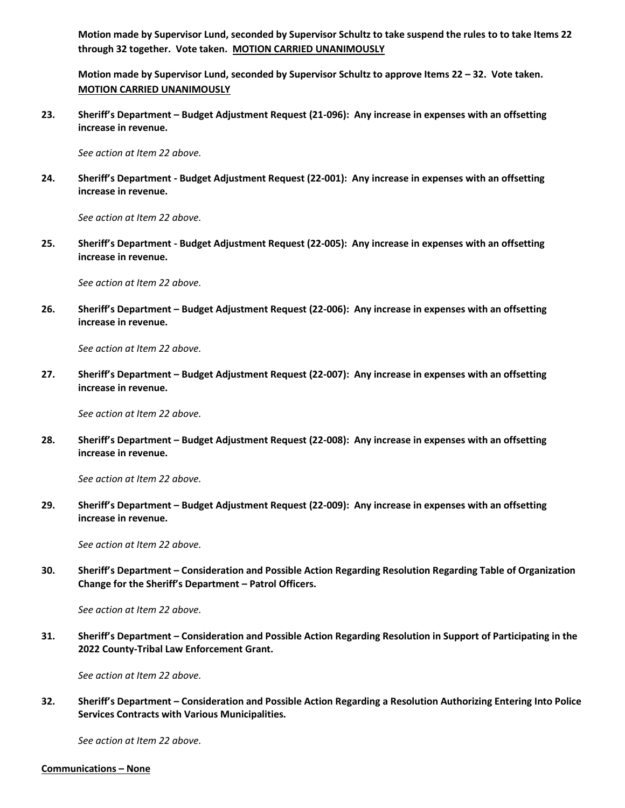**Motion made by Supervisor Lund, seconded by Supervisor Schultz to take suspend the rules to to take Items 22 through 32 together. Vote taken. MOTION CARRIED UNANIMOUSLY**

**Motion made by Supervisor Lund, seconded by Supervisor Schultz to approve Items 22 – 32. Vote taken. MOTION CARRIED UNANIMOUSLY**

**23. Sheriff's Department – Budget Adjustment Request (21-096): Any increase in expenses with an offsetting increase in revenue.** 

*See action at Item 22 above.* 

**24. Sheriff's Department - Budget Adjustment Request (22-001): Any increase in expenses with an offsetting increase in revenue.** 

*See action at Item 22 above.* 

**25. Sheriff's Department - Budget Adjustment Request (22-005): Any increase in expenses with an offsetting increase in revenue.** 

*See action at Item 22 above.* 

**26. Sheriff's Department – Budget Adjustment Request (22-006): Any increase in expenses with an offsetting increase in revenue.** 

*See action at Item 22 above.*

**27. Sheriff's Department – Budget Adjustment Request (22-007): Any increase in expenses with an offsetting increase in revenue.** 

*See action at Item 22 above.*

**28. Sheriff's Department – Budget Adjustment Request (22-008): Any increase in expenses with an offsetting increase in revenue.** 

*See action at Item 22 above.* 

**29. Sheriff's Department – Budget Adjustment Request (22-009): Any increase in expenses with an offsetting increase in revenue.** 

*See action at Item 22 above.*

**30. Sheriff's Department – Consideration and Possible Action Regarding Resolution Regarding Table of Organization Change for the Sheriff's Department – Patrol Officers.** 

*See action at Item 22 above.*

**31. Sheriff's Department – Consideration and Possible Action Regarding Resolution in Support of Participating in the 2022 County-Tribal Law Enforcement Grant.** 

*See action at Item 22 above.*

**32. Sheriff's Department – Consideration and Possible Action Regarding a Resolution Authorizing Entering Into Police Services Contracts with Various Municipalities.** 

*See action at Item 22 above.*

**Communications – None**